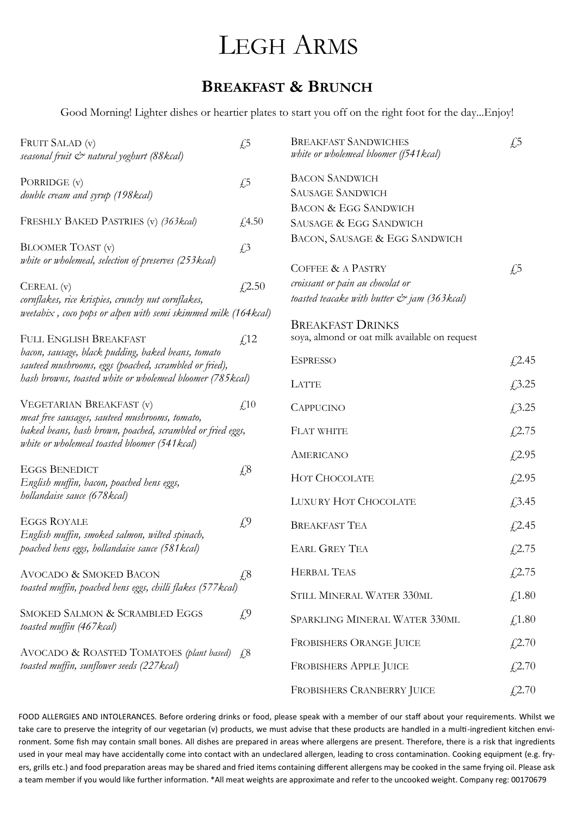## LEGH ARMS

## **BREAKFAST & BRUNCH**

Good Morning! Lighter dishes or heartier plates to start you off on the right foot for the day...Enjoy!

| FRUIT SALAD (v)<br>seasonal fruit & natural yoghurt (88 kcal)                                                           | $\sqrt{5}$               | <b>BREAKFAST SANDWICHES</b><br>white or wholemeal bloomer (f541 kcal)                        | $\sqrt{5}$ |
|-------------------------------------------------------------------------------------------------------------------------|--------------------------|----------------------------------------------------------------------------------------------|------------|
| PORRIDGE (v)<br>double cream and syrup (198kcal)                                                                        | $\sqrt{5}$               | <b>BACON SANDWICH</b><br><b>SAUSAGE SANDWICH</b>                                             |            |
| FRESHLY BAKED PASTRIES (v) (363 kcal)                                                                                   | f(4.50)                  | <b>BACON &amp; EGG SANDWICH</b><br>SAUSAGE & EGG SANDWICH                                    |            |
| <b>BLOOMER TOAST</b> (v)                                                                                                | $\sqrt{.3}$              | BACON, SAUSAGE & EGG SANDWICH                                                                |            |
| white or wholemeal, selection of preserves (253kcal)                                                                    |                          | COFFEE & A PASTRY                                                                            | $\sqrt{5}$ |
| $CEREAL$ $(v)$<br>cornflakes, rice krispies, crunchy nut cornflakes,                                                    | £2.50                    | croissant or pain au chocolat or<br>toasted teacake with butter $\mathcal{C}$ jam (363 kcal) |            |
| weetabix, coco pops or alpen with semi skimmed milk (164 kcal)                                                          |                          |                                                                                              |            |
| FULL ENGLISH BREAKFAST                                                                                                  | f <sub>12</sub>          | <b>BREAKFAST DRINKS</b><br>soya, almond or oat milk available on request                     |            |
| bacon, sausage, black pudding, baked beans, tomato<br>sauteed mushrooms, eggs (poached, scrambled or fried),            |                          | <b>ESPRESSO</b>                                                                              | £2.45      |
| hash browns, toasted white or wholemeal bloomer (785 kcal)                                                              |                          | LATTE                                                                                        | £3.25      |
| VEGETARIAN BREAKFAST (v)<br>meat free sausages, sauteed mushrooms, tomato,                                              | $\text{\textsterling}10$ | <b>CAPPUCINO</b>                                                                             | £3.25      |
| baked beans, hash brown, poached, scrambled or fried eggs,                                                              |                          | <b>FLAT WHITE</b>                                                                            | £2.75      |
| white or wholemeal toasted bloomer (541 kcal)                                                                           |                          | <b>AMERICANO</b>                                                                             | £2.95      |
| <b>EGGS BENEDICT</b><br>English muffin, bacon, poached hens eggs,<br><i>hollandaise sauce</i> (678 kcal)                | $\sqrt{2}8$              | HOT CHOCOLATE                                                                                | £2.95      |
|                                                                                                                         |                          | <b>LUXURY HOT CHOCOLATE</b>                                                                  | £3.45      |
| <b>EGGS ROYALE</b><br>English muffin, smoked salmon, wilted spinach,<br>poached hens eggs, hollandaise sauce (581 kcal) | $\mathcal{L}^9$          | <b>BREAKFAST TEA</b>                                                                         | £2.45      |
|                                                                                                                         |                          | <b>EARL GREY TEA</b>                                                                         | £2.75      |
| <b>AVOCADO &amp; SMOKED BACON</b><br>toasted muffin, poached hens eggs, chilli flakes (577 kcal)                        | $\sqrt{6}$               | <b>HERBAL TEAS</b>                                                                           | f(2.75)    |
|                                                                                                                         |                          | STILL MINERAL WATER 330ML                                                                    | £1.80      |
| SMOKED SALMON & SCRAMBLED EGGS<br>toasted muffin (467 kcal)                                                             | $\mathcal{L}^9$          | SPARKLING MINERAL WATER 330ML                                                                | £1.80      |
| AVOCADO & ROASTED TOMATOES (plant based)<br>toasted muffin, sunflower seeds (227kcal)                                   | 4.8                      | FROBISHERS ORANGE JUICE                                                                      | £2.70      |
|                                                                                                                         |                          | <b>FROBISHERS APPLE JUICE</b>                                                                | £2.70      |
|                                                                                                                         |                          | FROBISHERS CRANBERRY JUICE                                                                   | f(2.70)    |

FOOD ALLERGIES AND INTOLERANCES. Before ordering drinks or food, please speak with a member of our staff about your requirements. Whilst we take care to preserve the integrity of our vegetarian (v) products, we must advise that these products are handled in a multi-ingredient kitchen environment. Some fish may contain small bones. All dishes are prepared in areas where allergens are present. Therefore, there is a risk that ingredients used in your meal may have accidentally come into contact with an undeclared allergen, leading to cross contamination. Cooking equipment (e.g. fryers, grills etc.) and food preparation areas may be shared and fried items containing different allergens may be cooked in the same frying oil. Please ask a team member if you would like further information. \*All meat weights are approximate and refer to the uncooked weight. Company reg: 00170679